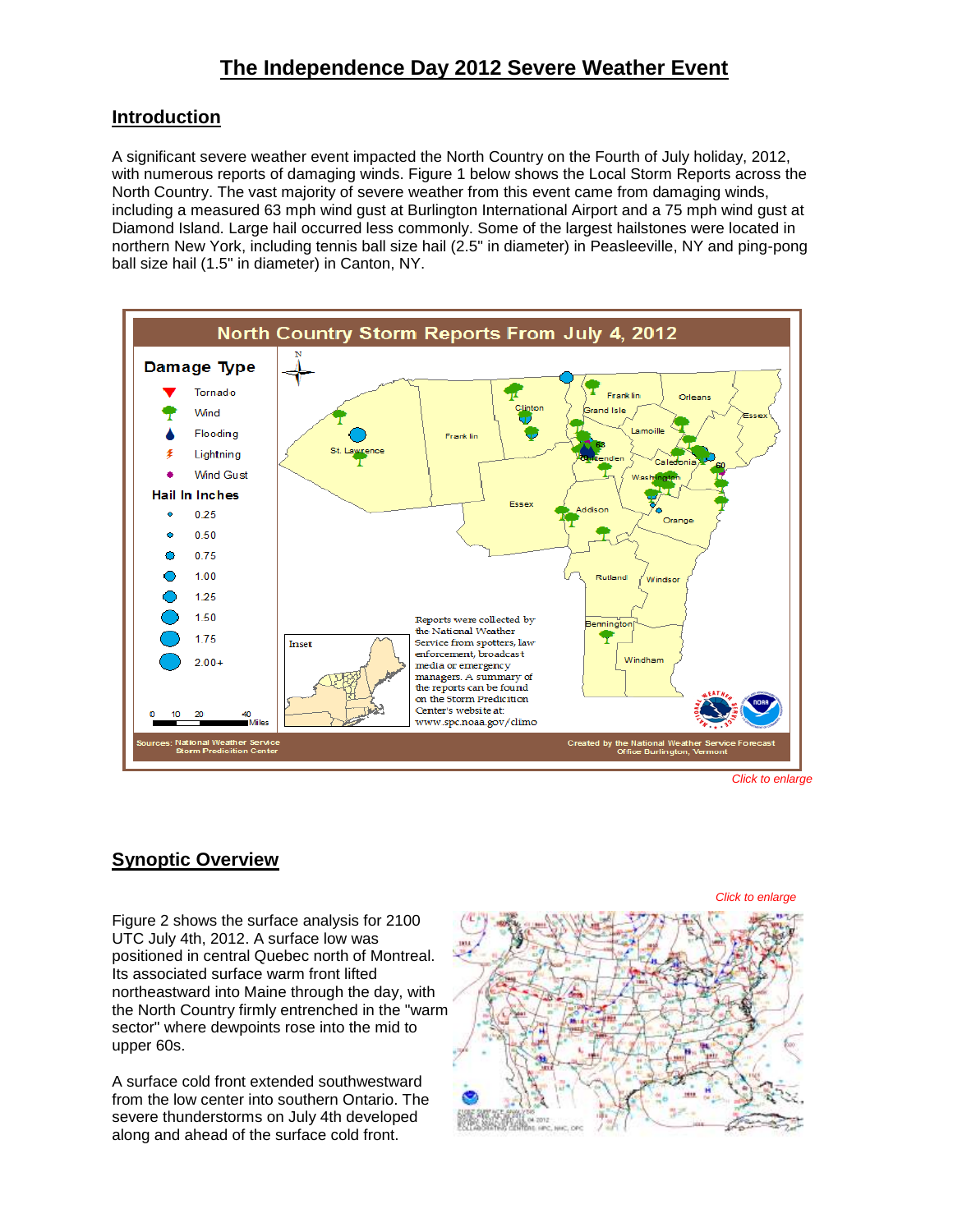# **Introduction**

A significant severe weather event impacted the North Country on the Fourth of July holiday, 2012, with numerous reports of damaging winds. Figure 1 below shows the Local Storm Reports across the North Country. The vast majority of severe weather from this event came from damaging winds, including a measured 63 mph wind gust at Burlington International Airport and a 75 mph wind gust at Diamond Island. Large hail occurred less commonly. Some of the largest hailstones were located in northern New York, including tennis ball size hail (2.5" in diameter) in Peasleeville, NY and ping-pong ball size hail (1.5" in diameter) in Canton, NY.



*Click to enlarge*

# **Synoptic Overview**

Figure 2 shows the surface analysis for 2100 UTC July 4th, 2012. A surface low was positioned in central Quebec north of Montreal. Its associated surface warm front lifted northeastward into Maine through the day, with the North Country firmly entrenched in the "warm sector" where dewpoints rose into the mid to upper 60s.

A surface cold front extended southwestward from the low center into southern Ontario. The severe thunderstorms on July 4th developed along and ahead of the surface cold front.

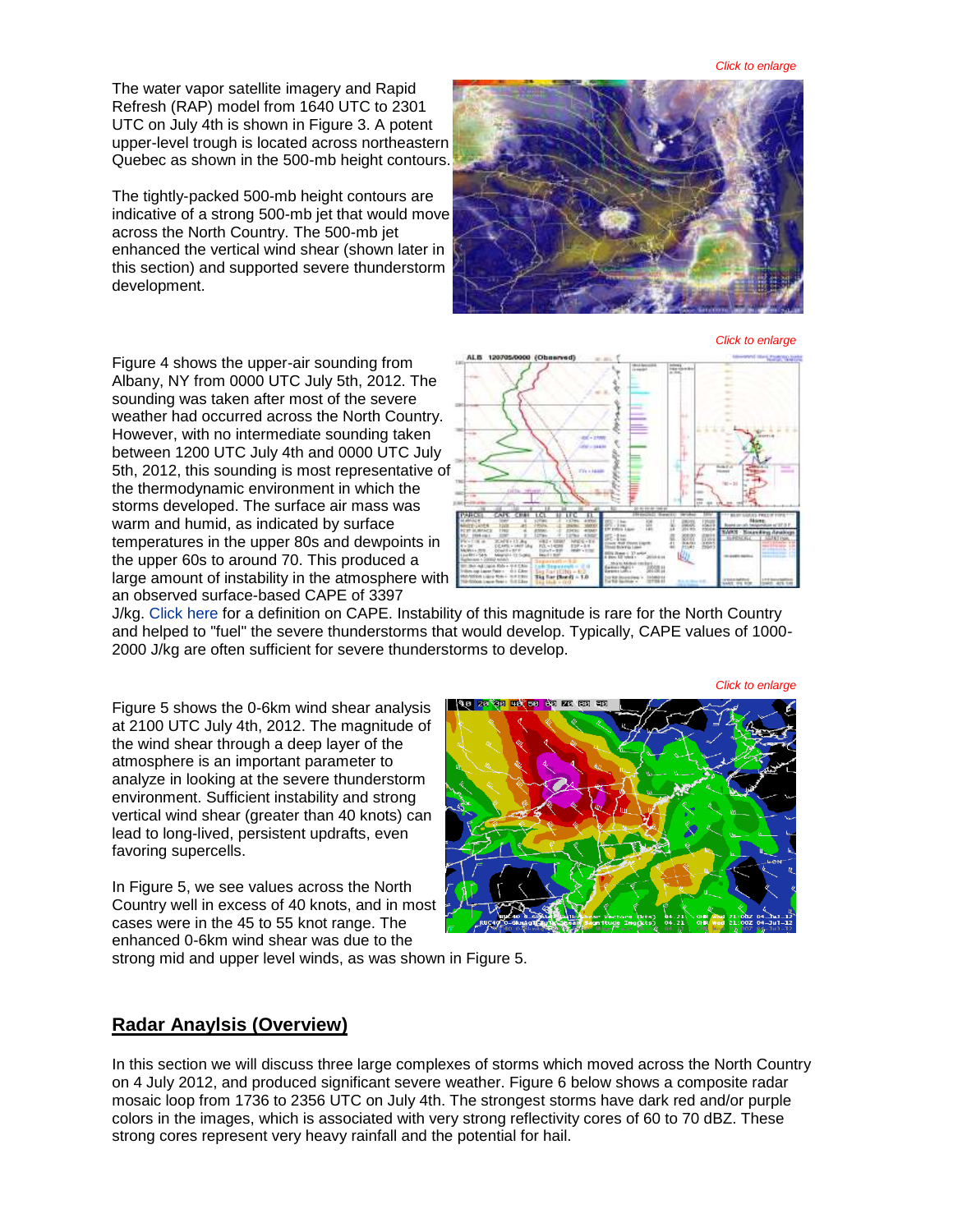The water vapor satellite imagery and Rapid Refresh (RAP) model from 1640 UTC to 2301 UTC on July 4th is shown in Figure 3. A potent upper-level trough is located across northeastern Quebec as shown in the 500-mb height contours.

The tightly-packed 500-mb height contours are indicative of a strong 500-mb jet that would move across the North Country. The 500-mb jet enhanced the vertical wind shear (shown later in this section) and supported severe thunderstorm development.



*Click to enlarge*

*Click to enlarge*

Figure 4 shows the upper-air sounding from Albany, NY from 0000 UTC July 5th, 2012. The sounding was taken after most of the severe weather had occurred across the North Country. However, with no intermediate sounding taken between 1200 UTC July 4th and 0000 UTC July 5th, 2012, this sounding is most representative of the thermodynamic environment in which the storms developed. The surface air mass was warm and humid, as indicated by surface temperatures in the upper 80s and dewpoints in the upper 60s to around 70. This produced a large amount of instability in the atmosphere with an observed surface-based CAPE of 3397



J/kg. [Click here](http://en.wikipedia.org/wiki/Convective_available_potential_energy) for a definition on CAPE. Instability of this magnitude is rare for the North Country and helped to "fuel" the severe thunderstorms that would develop. Typically, CAPE values of 1000- 2000 J/kg are often sufficient for severe thunderstorms to develop.

Figure 5 shows the 0-6km wind shear analysis at 2100 UTC July 4th, 2012. The magnitude of the wind shear through a deep layer of the atmosphere is an important parameter to analyze in looking at the severe thunderstorm environment. Sufficient instability and strong vertical wind shear (greater than 40 knots) can lead to long-lived, persistent updrafts, even favoring supercells.

In Figure 5, we see values across the North Country well in excess of 40 knots, and in most cases were in the 45 to 55 knot range. The enhanced 0-6km wind shear was due to the

strong mid and upper level winds, as was shown in Figure 5.

#### **Radar Anaylsis (Overview)**

In this section we will discuss three large complexes of storms which moved across the North Country on 4 July 2012, and produced significant severe weather. Figure 6 below shows a composite radar mosaic loop from 1736 to 2356 UTC on July 4th. The strongest storms have dark red and/or purple colors in the images, which is associated with very strong reflectivity cores of 60 to 70 dBZ. These strong cores represent very heavy rainfall and the potential for hail.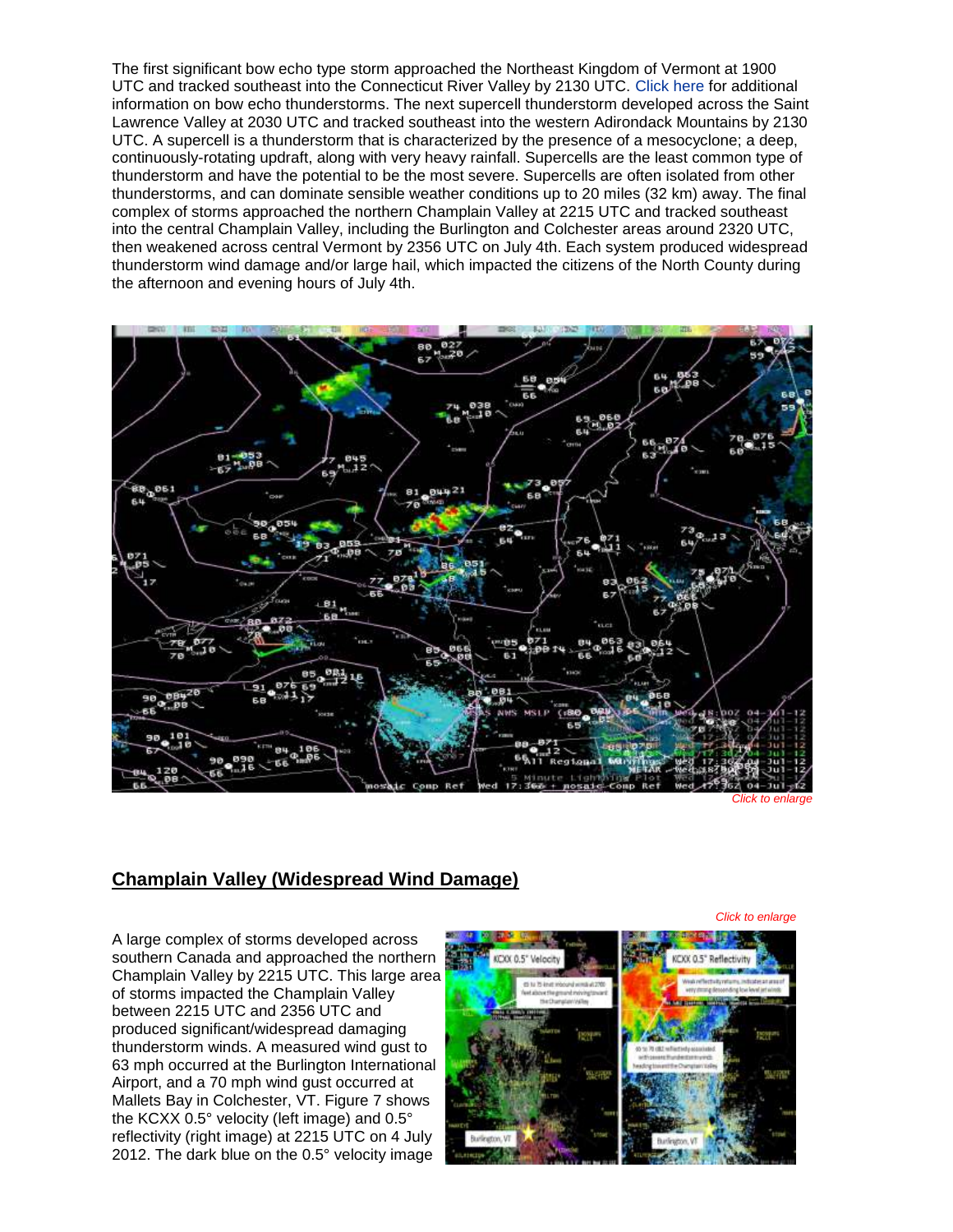The first significant bow echo type storm approached the Northeast Kingdom of Vermont at 1900 UTC and tracked southeast into the Connecticut River Valley by 2130 UTC. [Click here](http://en.wikipedia.org/wiki/Bow_echo) for additional information on bow echo thunderstorms. The next supercell thunderstorm developed across the Saint Lawrence Valley at 2030 UTC and tracked southeast into the western Adirondack Mountains by 2130 UTC. A supercell is a thunderstorm that is characterized by the presence of a mesocyclone; a deep, continuously-rotating updraft, along with very heavy rainfall. Supercells are the least common type of thunderstorm and have the potential to be the most severe. Supercells are often isolated from other thunderstorms, and can dominate sensible weather conditions up to 20 miles (32 km) away. The final complex of storms approached the northern Champlain Valley at 2215 UTC and tracked southeast into the central Champlain Valley, including the Burlington and Colchester areas around 2320 UTC, then weakened across central Vermont by 2356 UTC on July 4th. Each system produced widespread thunderstorm wind damage and/or large hail, which impacted the citizens of the North County during the afternoon and evening hours of July 4th.



*Click to enlarge*

### **Champlain Valley (Widespread Wind Damage)**

A large complex of storms developed across southern Canada and approached the northern Champlain Valley by 2215 UTC. This large area of storms impacted the Champlain Valley between 2215 UTC and 2356 UTC and produced significant/widespread damaging thunderstorm winds. A measured wind gust to 63 mph occurred at the Burlington International Airport, and a 70 mph wind gust occurred at Mallets Bay in Colchester, VT. Figure 7 shows the KCXX 0.5° velocity (left image) and 0.5° reflectivity (right image) at 2215 UTC on 4 July 2012. The dark blue on the 0.5° velocity image



*Click to enlarge*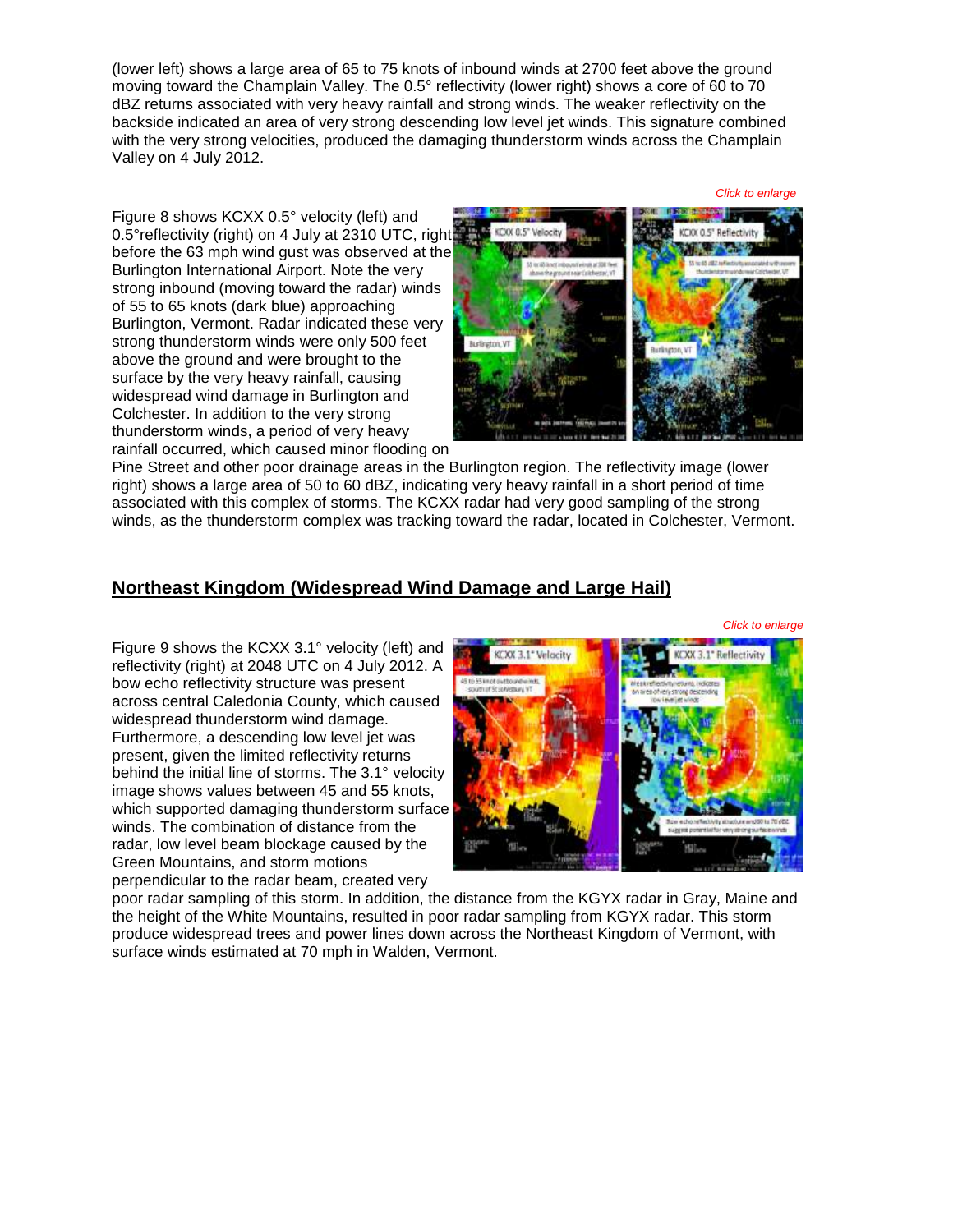(lower left) shows a large area of 65 to 75 knots of inbound winds at 2700 feet above the ground moving toward the Champlain Valley. The 0.5° reflectivity (lower right) shows a core of 60 to 70 dBZ returns associated with very heavy rainfall and strong winds. The weaker reflectivity on the backside indicated an area of very strong descending low level jet winds. This signature combined with the very strong velocities, produced the damaging thunderstorm winds across the Champlain Valley on 4 July 2012.

Figure 8 shows KCXX 0.5° velocity (left) and 0.5°reflectivity (right) on 4 July at 2310 UTC, right before the 63 mph wind gust was observed at the Burlington International Airport. Note the very strong inbound (moving toward the radar) winds of 55 to 65 knots (dark blue) approaching Burlington, Vermont. Radar indicated these very strong thunderstorm winds were only 500 feet above the ground and were brought to the surface by the very heavy rainfall, causing widespread wind damage in Burlington and Colchester. In addition to the very strong thunderstorm winds, a period of very heavy rainfall occurred, which caused minor flooding on



Pine Street and other poor drainage areas in the Burlington region. The reflectivity image (lower right) shows a large area of 50 to 60 dBZ, indicating very heavy rainfall in a short period of time associated with this complex of storms. The KCXX radar had very good sampling of the strong winds, as the thunderstorm complex was tracking toward the radar, located in Colchester, Vermont.

## **Northeast Kingdom (Widespread Wind Damage and Large Hail)**

*Click to enlarge*

Figure 9 shows the KCXX 3.1° velocity (left) and reflectivity (right) at 2048 UTC on 4 July 2012. A bow echo reflectivity structure was present across central Caledonia County, which caused widespread thunderstorm wind damage. Furthermore, a descending low level jet was present, given the limited reflectivity returns behind the initial line of storms. The 3.1° velocity image shows values between 45 and 55 knots, which supported damaging thunderstorm surface winds. The combination of distance from the radar, low level beam blockage caused by the Green Mountains, and storm motions perpendicular to the radar beam, created very



poor radar sampling of this storm. In addition, the distance from the KGYX radar in Gray, Maine and the height of the White Mountains, resulted in poor radar sampling from KGYX radar. This storm produce widespread trees and power lines down across the Northeast Kingdom of Vermont, with surface winds estimated at 70 mph in Walden, Vermont.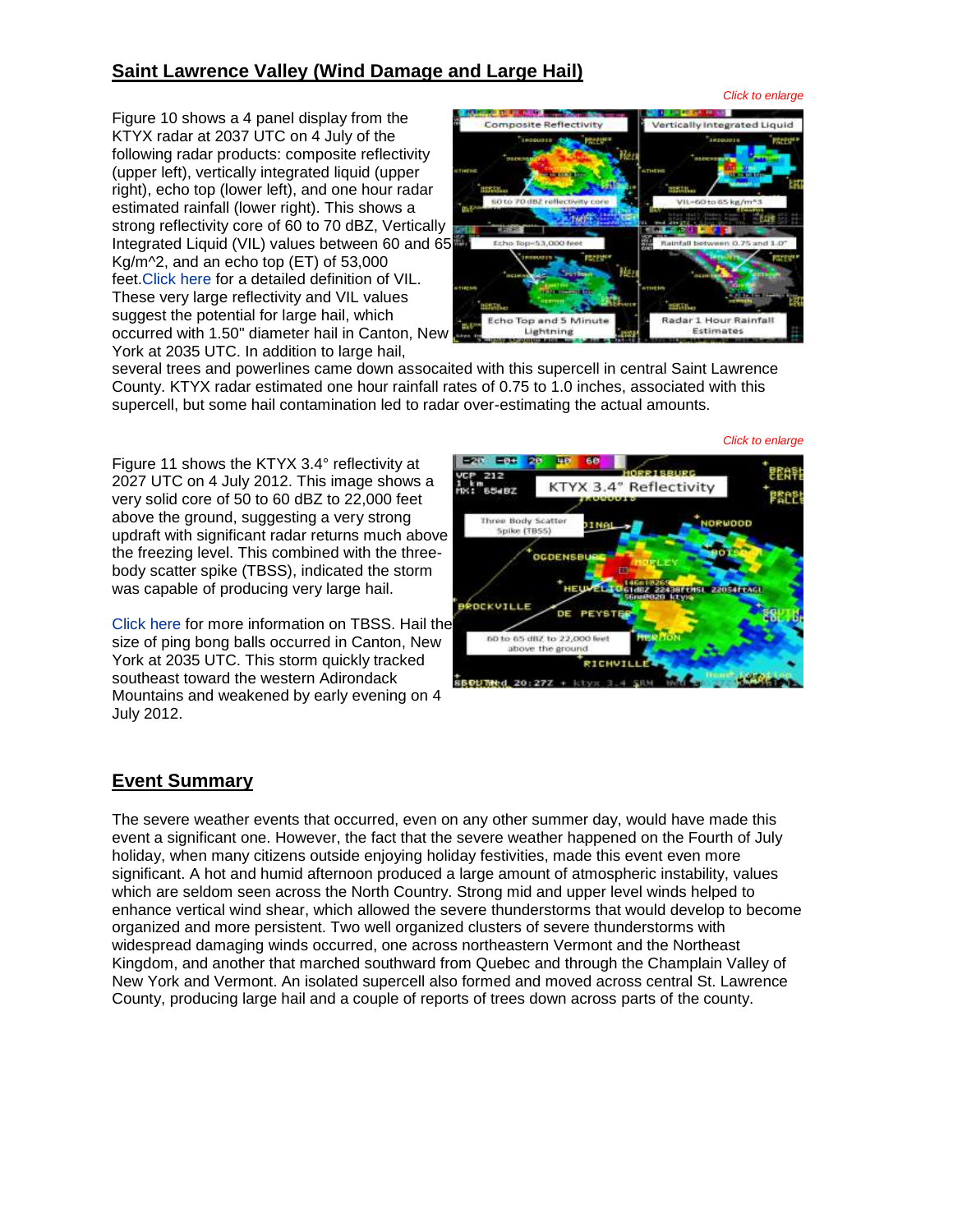## **Saint Lawrence Valley (Wind Damage and Large Hail)**

Figure 10 shows a 4 panel display from the KTYX radar at 2037 UTC on 4 July of the following radar products: composite reflectivity (upper left), vertically integrated liquid (upper right), echo top (lower left), and one hour radar estimated rainfall (lower right). This shows a strong reflectivity core of 60 to 70 dBZ, Vertically IntegratedLiquid (VIL) values between 60 and 65 Kg/m^2, and an echo top (ET) of 53,000 feet[.Click here](http://en.wikipedia.org/wiki/Vertically_integrated_liquid) for a detailed definition of VIL. These very large reflectivity and VIL values suggest the potential for large hail, which occurred with 1.50" diameter hail in Canton, New York at 2035 UTC. In addition to large hail,



several trees and powerlines came down assocaited with this supercell in central Saint Lawrence County. KTYX radar estimated one hour rainfall rates of 0.75 to 1.0 inches, associated with this supercell, but some hail contamination led to radar over-estimating the actual amounts.

Figure 11 shows the KTYX 3.4° reflectivity at 2027 UTC on 4 July 2012. This image shows a very solid core of 50 to 60 dBZ to 22,000 feet above the ground, suggesting a very strong updraft with significant radar returns much above the freezing level. This combined with the threebody scatter spike (TBSS), indicated the storm was capable of producing very large hail.

[Click here](http://en.wikipedia.org/wiki/Hail_spike) for more information on TBSS. Hail the size of ping bong balls occurred in Canton, New York at 2035 UTC. This storm quickly tracked southeast toward the western Adirondack Mountains and weakened by early evening on 4 July 2012.



#### **Event Summary**

The severe weather events that occurred, even on any other summer day, would have made this event a significant one. However, the fact that the severe weather happened on the Fourth of July holiday, when many citizens outside enjoying holiday festivities, made this event even more significant. A hot and humid afternoon produced a large amount of atmospheric instability, values which are seldom seen across the North Country. Strong mid and upper level winds helped to enhance vertical wind shear, which allowed the severe thunderstorms that would develop to become organized and more persistent. Two well organized clusters of severe thunderstorms with widespread damaging winds occurred, one across northeastern Vermont and the Northeast Kingdom, and another that marched southward from Quebec and through the Champlain Valley of New York and Vermont. An isolated supercell also formed and moved across central St. Lawrence County, producing large hail and a couple of reports of trees down across parts of the county.